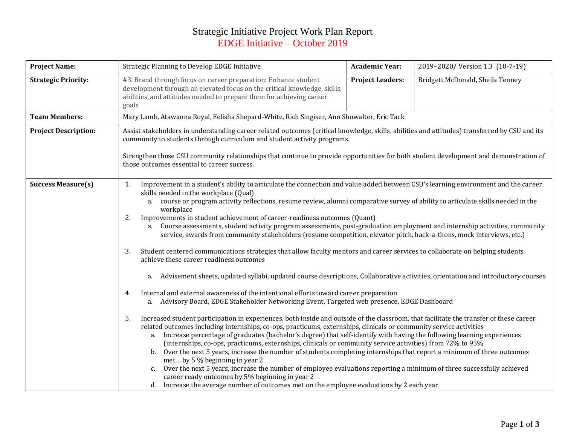## Strategic Initiative Project Work Plan Report EDGE Initiative – October 2019

| <b>Project Name:</b><br>Strategic Planning to Develop EDGE Initiative                                                                                                                                                                                     |                                                                                                                                                                                                                                                                                                                                                                                                                                                                                                                                                                                                                                                                                                                                                                                                                                                                                                                                                                                                                                                                                                                                                                                                                                                                                                                                                                                                                                                                                                                                                                                                                                                                                                                                                                                                                                                                                                                                                                                                                                                                                                                                                                           | <b>Academic Year:</b>   | 2019-2020/ Version 1.3 (10-7-19) |  |  |  |  |
|-----------------------------------------------------------------------------------------------------------------------------------------------------------------------------------------------------------------------------------------------------------|---------------------------------------------------------------------------------------------------------------------------------------------------------------------------------------------------------------------------------------------------------------------------------------------------------------------------------------------------------------------------------------------------------------------------------------------------------------------------------------------------------------------------------------------------------------------------------------------------------------------------------------------------------------------------------------------------------------------------------------------------------------------------------------------------------------------------------------------------------------------------------------------------------------------------------------------------------------------------------------------------------------------------------------------------------------------------------------------------------------------------------------------------------------------------------------------------------------------------------------------------------------------------------------------------------------------------------------------------------------------------------------------------------------------------------------------------------------------------------------------------------------------------------------------------------------------------------------------------------------------------------------------------------------------------------------------------------------------------------------------------------------------------------------------------------------------------------------------------------------------------------------------------------------------------------------------------------------------------------------------------------------------------------------------------------------------------------------------------------------------------------------------------------------------------|-------------------------|----------------------------------|--|--|--|--|
| <b>Strategic Priority:</b><br>#3. Brand through focus on career preparation: Enhance student<br>development through an elevated focus on the critical knowledge, skills,<br>abilities, and attitudes needed to prepare them for achieving career<br>goals |                                                                                                                                                                                                                                                                                                                                                                                                                                                                                                                                                                                                                                                                                                                                                                                                                                                                                                                                                                                                                                                                                                                                                                                                                                                                                                                                                                                                                                                                                                                                                                                                                                                                                                                                                                                                                                                                                                                                                                                                                                                                                                                                                                           | <b>Project Leaders:</b> | Bridgett McDonald, Sheila Tenney |  |  |  |  |
| <b>Team Members:</b>                                                                                                                                                                                                                                      | Mary Lamb, Atawanna Royal, Felisha Shepard-White, Rich Singiser, Ann Showalter, Eric Tack                                                                                                                                                                                                                                                                                                                                                                                                                                                                                                                                                                                                                                                                                                                                                                                                                                                                                                                                                                                                                                                                                                                                                                                                                                                                                                                                                                                                                                                                                                                                                                                                                                                                                                                                                                                                                                                                                                                                                                                                                                                                                 |                         |                                  |  |  |  |  |
| <b>Project Description:</b>                                                                                                                                                                                                                               | Assist stakeholders in understanding career related outcomes (critical knowledge, skills, abilities and attitudes) transferred by CSU and its<br>community to students through curriculum and student activity programs.<br>Strengthen those CSU community relationships that continue to provide opportunities for both student development and demonstration of<br>those outcomes essential to career success.                                                                                                                                                                                                                                                                                                                                                                                                                                                                                                                                                                                                                                                                                                                                                                                                                                                                                                                                                                                                                                                                                                                                                                                                                                                                                                                                                                                                                                                                                                                                                                                                                                                                                                                                                          |                         |                                  |  |  |  |  |
| <b>Success Measure(s)</b>                                                                                                                                                                                                                                 | Improvement in a student's ability to articulate the connection and value added between CSU's learning environment and the career<br>1.<br>skills needed in the workplace (Qual)<br>a. course or program activity reflections, resume review, alumni comparative survey of ability to articulate skills needed in the<br>workplace<br>2.<br>Improvements in student achievement of career-readiness outcomes (Quant)<br>a. Course assessments, student activity program assessments, post-graduation employment and internship activities, community<br>service, awards from community stakeholders (resume competition, elevator pitch, hack-a-thons, mock interviews, etc.)<br>Student centered communications strategies that allow faculty mentors and career services to collaborate on helping students<br>3.<br>achieve these career readiness outcomes<br>Advisement sheets, updated syllabi, updated course descriptions, Collaborative activities, orientation and introductory courses<br>a.<br>Internal and external awareness of the intentional efforts toward career preparation<br>4.<br>a. Advisory Board, EDGE Stakeholder Networking Event, Targeted web presence, EDGE Dashboard<br>Increased student participation in experiences, both inside and outside of the classroom, that facilitate the transfer of these career<br>5.<br>related outcomes including internships, co-ops, practicums, externships, clinicals or community service activities<br>a. Increase percentage of graduates (bachelor's degree) that self-identify with having the following learning experiences<br>(internships, co-ops, practicums, externships, clinicals or community service activities) from 72% to 95%<br>Over the next 5 years, increase the number of students completing internships that report a minimum of three outcomes<br>b.<br>met by 5 % beginning in year 2<br>Over the next 5 years, increase the number of employee evaluations reporting a minimum of three successfully achieved<br>$C_{1}$<br>career ready outcomes by 5% beginning in year 2<br>d. Increase the average number of outcomes met on the employee evaluations by 2 each year |                         |                                  |  |  |  |  |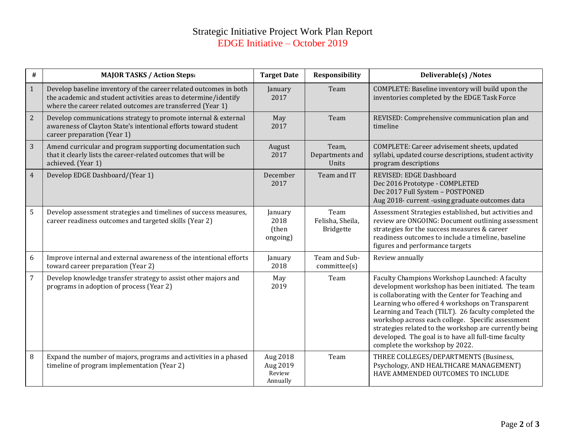## Strategic Initiative Project Work Plan Report EDGE Initiative – October 2019

| $\#$           | <b>MAJOR TASKS / Action Stepsi</b>                                                                                                                                                                 | <b>Target Date</b>                         | <b>Responsibility</b>                 | Deliverable(s) /Notes                                                                                                                                                                                                                                                                                                                                                                                                                                                       |
|----------------|----------------------------------------------------------------------------------------------------------------------------------------------------------------------------------------------------|--------------------------------------------|---------------------------------------|-----------------------------------------------------------------------------------------------------------------------------------------------------------------------------------------------------------------------------------------------------------------------------------------------------------------------------------------------------------------------------------------------------------------------------------------------------------------------------|
| $\mathbf{1}$   | Develop baseline inventory of the career related outcomes in both<br>the academic and student activities areas to determine/identify<br>where the career related outcomes are transferred (Year 1) | January<br>2017                            | Team                                  | COMPLETE: Baseline inventory will build upon the<br>inventories completed by the EDGE Task Force                                                                                                                                                                                                                                                                                                                                                                            |
| 2              | Develop communications strategy to promote internal & external<br>awareness of Clayton State's intentional efforts toward student<br>career preparation (Year 1)                                   | May<br>2017                                | Team                                  | REVISED: Comprehensive communication plan and<br>timeline                                                                                                                                                                                                                                                                                                                                                                                                                   |
| $\overline{3}$ | Amend curricular and program supporting documentation such<br>that it clearly lists the career-related outcomes that will be<br>achieved. (Year 1)                                                 | August<br>2017                             | Team,<br>Departments and<br>Units     | COMPLETE: Career advisement sheets, updated<br>syllabi, updated course descriptions, student activity<br>program descriptions                                                                                                                                                                                                                                                                                                                                               |
| $\overline{4}$ | Develop EDGE Dashboard/(Year 1)                                                                                                                                                                    | December<br>2017                           | Team and IT                           | REVISED: EDGE Dashboard<br>Dec 2016 Prototype - COMPLETED<br>Dec 2017 Full System - POSTPONED<br>Aug 2018- current -using graduate outcomes data                                                                                                                                                                                                                                                                                                                            |
| 5              | Develop assessment strategies and timelines of success measures,<br>career readiness outcomes and targeted skills (Year 2)                                                                         | January<br>2018<br>(then<br>ongoing)       | Team<br>Felisha, Sheila,<br>Bridgette | Assessment Strategies established, but activities and<br>review are ONGOING: Document outlining assessment<br>strategies for the success measures & career<br>readiness outcomes to include a timeline, baseline<br>figures and performance targets                                                                                                                                                                                                                         |
| 6              | Improve internal and external awareness of the intentional efforts<br>toward career preparation (Year 2)                                                                                           | January<br>2018                            | Team and Sub-<br>committe(s)          | Review annually                                                                                                                                                                                                                                                                                                                                                                                                                                                             |
| $\overline{7}$ | Develop knowledge transfer strategy to assist other majors and<br>programs in adoption of process (Year 2)                                                                                         | May<br>2019                                | Team                                  | Faculty Champions Workshop Launched: A faculty<br>development workshop has been initiated. The team<br>is collaborating with the Center for Teaching and<br>Learning who offered 4 workshops on Transparent<br>Learning and Teach (TILT). 26 faculty completed the<br>workshop across each college. Specific assessment<br>strategies related to the workshop are currently being<br>developed. The goal is to have all full-time faculty<br>complete the workshop by 2022. |
| $\, 8$         | Expand the number of majors, programs and activities in a phased<br>timeline of program implementation (Year 2)                                                                                    | Aug 2018<br>Aug 2019<br>Review<br>Annually | Team                                  | THREE COLLEGES/DEPARTMENTS (Business,<br>Psychology, AND HEALTHCARE MANAGEMENT)<br>HAVE AMMENDED OUTCOMES TO INCLUDE                                                                                                                                                                                                                                                                                                                                                        |